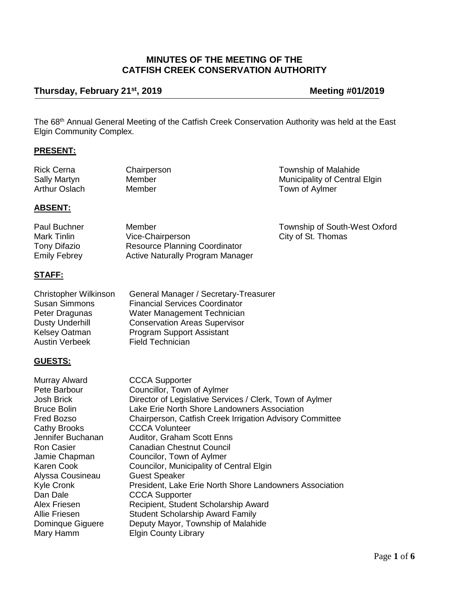# **MINUTES OF THE MEETING OF THE CATFISH CREEK CONSERVATION AUTHORITY**

# **Thursday, February 21st, 2019 Meeting #01/2019**

Township of South-West Oxford

City of St. Thomas

The 68<sup>th</sup> Annual General Meeting of the Catfish Creek Conservation Authority was held at the East Elgin Community Complex.

# **PRESENT:**

| <b>Rick Cerna</b> | Chairperson | Township of Malahide          |
|-------------------|-------------|-------------------------------|
| Sally Martyn      | Member      | Municipality of Central Elgin |
| Arthur Oslach     | Member      | Town of Aylmer                |

#### **ABSENT:**

| Paul Buchner | Member                                  |
|--------------|-----------------------------------------|
| Mark Tinlin  | Vice-Chairperson                        |
| Tony Difazio | <b>Resource Planning Coordinator</b>    |
| Emily Febrey | <b>Active Naturally Program Manager</b> |
|              |                                         |

# **STAFF:**

| Christopher Wilkinson  | General Manager / Secretary-Treasurer |
|------------------------|---------------------------------------|
| <b>Susan Simmons</b>   | <b>Financial Services Coordinator</b> |
| Peter Dragunas         | Water Management Technician           |
| <b>Dusty Underhill</b> | <b>Conservation Areas Supervisor</b>  |
| Kelsey Oatman          | <b>Program Support Assistant</b>      |
| Austin Verbeek         | <b>Field Technician</b>               |

#### **GUESTS:**

| Murray Alward      | <b>CCCA Supporter</b>                                    |
|--------------------|----------------------------------------------------------|
| Pete Barbour       | Councillor, Town of Aylmer                               |
| Josh Brick         | Director of Legislative Services / Clerk, Town of Aylmer |
| <b>Bruce Bolin</b> | Lake Erie North Shore Landowners Association             |
| Fred Bozso         | Chairperson, Catfish Creek Irrigation Advisory Committee |
| Cathy Brooks       | <b>CCCA Volunteer</b>                                    |
| Jennifer Buchanan  | <b>Auditor, Graham Scott Enns</b>                        |
| Ron Casier         | <b>Canadian Chestnut Council</b>                         |
| Jamie Chapman      | Councilor, Town of Aylmer                                |
| Karen Cook         | Councilor, Municipality of Central Elgin                 |
| Alyssa Cousineau   | <b>Guest Speaker</b>                                     |
| Kyle Cronk         | President, Lake Erie North Shore Landowners Association  |
| Dan Dale           | <b>CCCA Supporter</b>                                    |
| Alex Friesen       | Recipient, Student Scholarship Award                     |
| Allie Friesen      | <b>Student Scholarship Award Family</b>                  |
| Dominque Giguere   | Deputy Mayor, Township of Malahide                       |
| Mary Hamm          | <b>Elgin County Library</b>                              |
|                    |                                                          |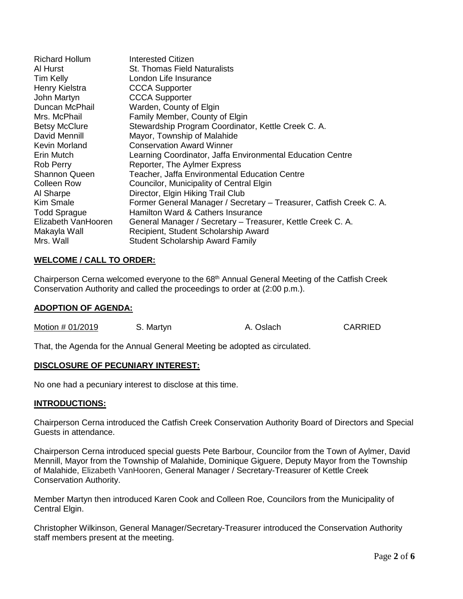| Richard Hollum       | Interested Citizen                                                  |
|----------------------|---------------------------------------------------------------------|
| Al Hurst             | <b>St. Thomas Field Naturalists</b>                                 |
| Tim Kelly            | London Life Insurance                                               |
| Henry Kielstra       | <b>CCCA Supporter</b>                                               |
| John Martyn          | <b>CCCA Supporter</b>                                               |
| Duncan McPhail       | Warden, County of Elgin                                             |
| Mrs. McPhail         | Family Member, County of Elgin                                      |
| <b>Betsy McClure</b> | Stewardship Program Coordinator, Kettle Creek C. A.                 |
| David Mennill        | Mayor, Township of Malahide                                         |
| Kevin Morland        | <b>Conservation Award Winner</b>                                    |
| Erin Mutch           | Learning Coordinator, Jaffa Environmental Education Centre          |
| Rob Perry            | Reporter, The Aylmer Express                                        |
| <b>Shannon Queen</b> | Teacher, Jaffa Environmental Education Centre                       |
| Colleen Row          | Councilor, Municipality of Central Elgin                            |
| Al Sharpe            | Director, Elgin Hiking Trail Club                                   |
| Kim Smale            | Former General Manager / Secretary - Treasurer, Catfish Creek C. A. |
| <b>Todd Sprague</b>  | Hamilton Ward & Cathers Insurance                                   |
| Elizabeth VanHooren  | General Manager / Secretary - Treasurer, Kettle Creek C. A.         |
| Makayla Wall         | Recipient, Student Scholarship Award                                |
| Mrs. Wall            | <b>Student Scholarship Award Family</b>                             |

# **WELCOME / CALL TO ORDER:**

Chairperson Cerna welcomed everyone to the 68<sup>th</sup> Annual General Meeting of the Catfish Creek Conservation Authority and called the proceedings to order at (2:00 p.m.).

#### **ADOPTION OF AGENDA:**

| Motion # 01/2019 | S. Martyn | A. Oslach | <b>CARRIED</b> |
|------------------|-----------|-----------|----------------|
|                  |           |           |                |

That, the Agenda for the Annual General Meeting be adopted as circulated.

#### **DISCLOSURE OF PECUNIARY INTEREST:**

No one had a pecuniary interest to disclose at this time.

#### **INTRODUCTIONS:**

Chairperson Cerna introduced the Catfish Creek Conservation Authority Board of Directors and Special Guests in attendance.

Chairperson Cerna introduced special guests Pete Barbour, Councilor from the Town of Aylmer, David Mennill, Mayor from the Township of Malahide, Dominique Giguere, Deputy Mayor from the Township of Malahide, Elizabeth VanHooren, General Manager / Secretary-Treasurer of Kettle Creek Conservation Authority.

Member Martyn then introduced Karen Cook and Colleen Roe, Councilors from the Municipality of Central Elgin.

Christopher Wilkinson, General Manager/Secretary-Treasurer introduced the Conservation Authority staff members present at the meeting.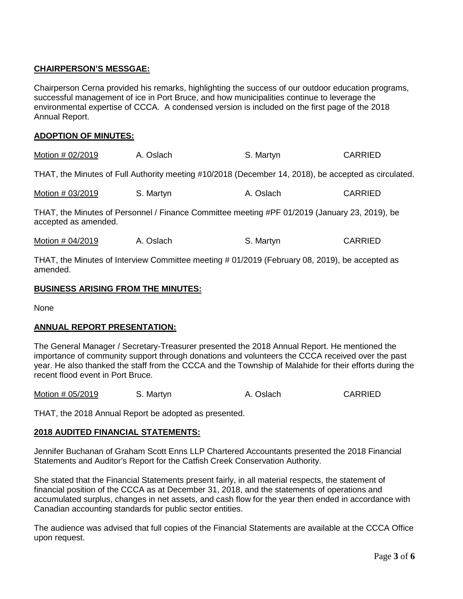# **CHAIRPERSON'S MESSGAE:**

Chairperson Cerna provided his remarks, highlighting the success of our outdoor education programs, successful management of ice in Port Bruce, and how municipalities continue to leverage the environmental expertise of CCCA.A condensed version is included on the first page of the 2018 Annual Report.

# **ADOPTION OF MINUTES:**

| Motion # 02/2019 | A. Oslach | S. Martyn | <b>CARRIED</b> |
|------------------|-----------|-----------|----------------|
|------------------|-----------|-----------|----------------|

THAT, the Minutes of Full Authority meeting #10/2018 (December 14, 2018), be accepted as circulated.

| Motion # 03/2019 | S. Martyn | A. Oslach | <b>CARRIED</b> |
|------------------|-----------|-----------|----------------|
|------------------|-----------|-----------|----------------|

THAT, the Minutes of Personnel / Finance Committee meeting #PF 01/2019 (January 23, 2019), be accepted as amended.

| Motion # 04/2019 | S. Martyn<br>A. Oslach | <b>CARRIED</b> |
|------------------|------------------------|----------------|
|------------------|------------------------|----------------|

THAT, the Minutes of Interview Committee meeting # 01/2019 (February 08, 2019), be accepted as amended.

#### **BUSINESS ARISING FROM THE MINUTES:**

None

# **ANNUAL REPORT PRESENTATION:**

The General Manager / Secretary-Treasurer presented the 2018 Annual Report. He mentioned the importance of community support through donations and volunteers the CCCA received over the past year. He also thanked the staff from the CCCA and the Township of Malahide for their efforts during the recent flood event in Port Bruce.

|  | Motion # 05/2019 | S. Martyn | A. Oslach | <b>CARRIED</b> |
|--|------------------|-----------|-----------|----------------|
|--|------------------|-----------|-----------|----------------|

THAT, the 2018 Annual Report be adopted as presented.

# **2018 AUDITED FINANCIAL STATEMENTS:**

Jennifer Buchanan of Graham Scott Enns LLP Chartered Accountants presented the 2018 Financial Statements and Auditor's Report for the Catfish Creek Conservation Authority.

She stated that the Financial Statements present fairly, in all material respects, the statement of financial position of the CCCA as at December 31, 2018, and the statements of operations and accumulated surplus, changes in net assets, and cash flow for the year then ended in accordance with Canadian accounting standards for public sector entities.

The audience was advised that full copies of the Financial Statements are available at the CCCA Office upon request.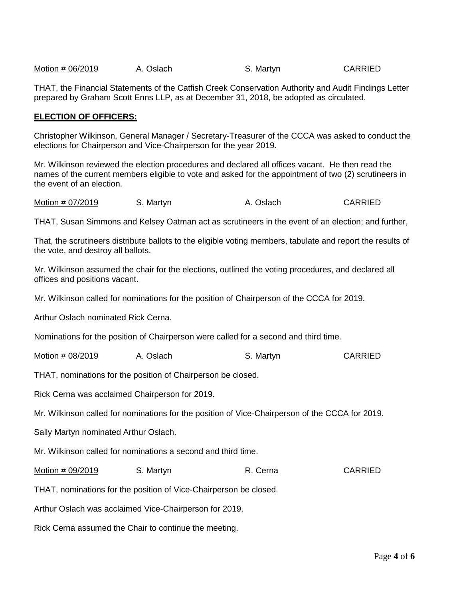| Motion # 06/2019 | A. Oslach | S. Martyn | <b>CARRIED</b> |
|------------------|-----------|-----------|----------------|
|                  |           |           |                |

THAT, the Financial Statements of the Catfish Creek Conservation Authority and Audit Findings Letter prepared by Graham Scott Enns LLP, as at December 31, 2018, be adopted as circulated.

#### **ELECTION OF OFFICERS:**

Christopher Wilkinson, General Manager / Secretary-Treasurer of the CCCA was asked to conduct the elections for Chairperson and Vice-Chairperson for the year 2019.

Mr. Wilkinson reviewed the election procedures and declared all offices vacant. He then read the names of the current members eligible to vote and asked for the appointment of two (2) scrutineers in the event of an election.

Motion # 07/2019 S. Martyn A. Oslach CARRIED

THAT, Susan Simmons and Kelsey Oatman act as scrutineers in the event of an election; and further,

That, the scrutineers distribute ballots to the eligible voting members, tabulate and report the results of the vote, and destroy all ballots.

Mr. Wilkinson assumed the chair for the elections, outlined the voting procedures, and declared all offices and positions vacant.

Mr. Wilkinson called for nominations for the position of Chairperson of the CCCA for 2019.

Arthur Oslach nominated Rick Cerna.

Nominations for the position of Chairperson were called for a second and third time.

Motion # 08/2019 A. Oslach S. Martyn S. Martyn CARRIED

THAT, nominations for the position of Chairperson be closed.

Rick Cerna was acclaimed Chairperson for 2019.

Mr. Wilkinson called for nominations for the position of Vice-Chairperson of the CCCA for 2019.

Sally Martyn nominated Arthur Oslach.

Mr. Wilkinson called for nominations a second and third time.

Motion # 09/2019 S. Martyn B. Cerna R. Cerna CARRIED

THAT, nominations for the position of Vice-Chairperson be closed.

Arthur Oslach was acclaimed Vice-Chairperson for 2019.

Rick Cerna assumed the Chair to continue the meeting.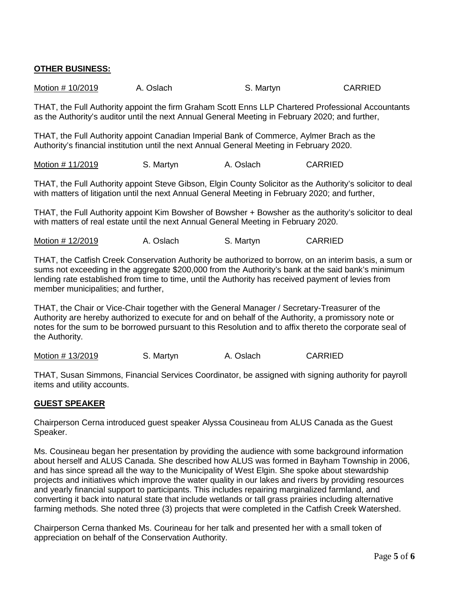# **OTHER BUSINESS:**

| Motion # 10/2019 | A. Oslach | S. Martyn | <b>CARRIED</b> |
|------------------|-----------|-----------|----------------|
|------------------|-----------|-----------|----------------|

THAT, the Full Authority appoint the firm Graham Scott Enns LLP Chartered Professional Accountants as the Authority's auditor until the next Annual General Meeting in February 2020; and further,

THAT, the Full Authority appoint Canadian Imperial Bank of Commerce, Aylmer Brach as the Authority's financial institution until the next Annual General Meeting in February 2020.

Motion # 11/2019 S. Martyn A. Oslach CARRIED

THAT, the Full Authority appoint Steve Gibson, Elgin County Solicitor as the Authority's solicitor to deal with matters of litigation until the next Annual General Meeting in February 2020; and further,

THAT, the Full Authority appoint Kim Bowsher of Bowsher + Bowsher as the authority's solicitor to deal with matters of real estate until the next Annual General Meeting in February 2020.

Motion # 12/2019 A. Oslach S. Martyn CARRIED

THAT, the Catfish Creek Conservation Authority be authorized to borrow, on an interim basis, a sum or sums not exceeding in the aggregate \$200,000 from the Authority's bank at the said bank's minimum lending rate established from time to time, until the Authority has received payment of levies from member municipalities; and further,

THAT, the Chair or Vice-Chair together with the General Manager / Secretary-Treasurer of the Authority are hereby authorized to execute for and on behalf of the Authority, a promissory note or notes for the sum to be borrowed pursuant to this Resolution and to affix thereto the corporate seal of the Authority.

Motion # 13/2019 S. Martyn A. Oslach CARRIED

THAT, Susan Simmons, Financial Services Coordinator, be assigned with signing authority for payroll items and utility accounts.

#### **GUEST SPEAKER**

Chairperson Cerna introduced guest speaker Alyssa Cousineau from ALUS Canada as the Guest Speaker.

Ms. Cousineau began her presentation by providing the audience with some background information about herself and ALUS Canada. She described how ALUS was formed in Bayham Township in 2006, and has since spread all the way to the Municipality of West Elgin. She spoke about stewardship projects and initiatives which improve the water quality in our lakes and rivers by providing resources and yearly financial support to participants. This includes repairing marginalized farmland, and converting it back into natural state that include wetlands or tall grass prairies including alternative farming methods. She noted three (3) projects that were completed in the Catfish Creek Watershed.

Chairperson Cerna thanked Ms. Courineau for her talk and presented her with a small token of appreciation on behalf of the Conservation Authority.